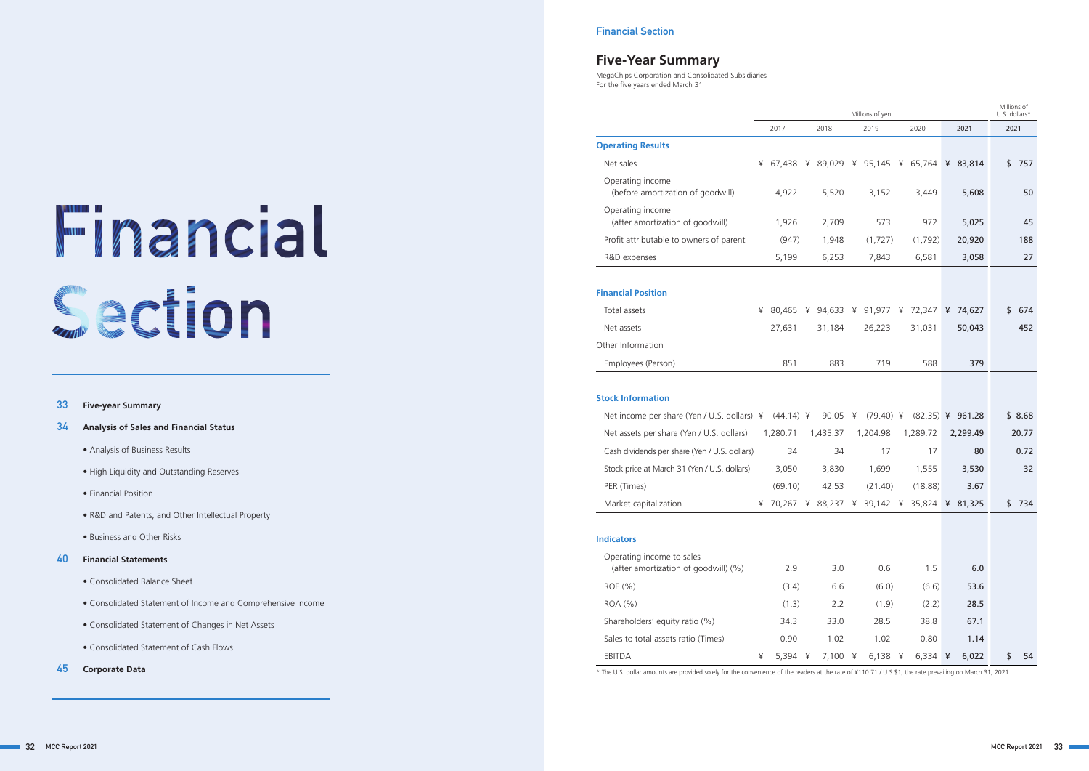## **Five-Year Summary**

|                                                                   |   |          |   |          |   | Millions of yen                   |          |                    | U.S. dollars* | Millions of |
|-------------------------------------------------------------------|---|----------|---|----------|---|-----------------------------------|----------|--------------------|---------------|-------------|
|                                                                   |   | 2017     |   | 2018     |   | 2019                              | 2020     | 2021               | 2021          |             |
| <b>Operating Results</b>                                          |   |          |   |          |   |                                   |          |                    |               |             |
| Net sales                                                         | ¥ | 67,438   | ¥ |          |   | 89,029 ¥ 95,145 ¥ 65,764          |          | ¥ 83,814           | \$            | 757         |
| Operating income<br>(before amortization of goodwill)             |   | 4,922    |   | 5,520    |   | 3,152                             | 3,449    | 5,608              |               | 50          |
| Operating income<br>(after amortization of goodwill)              |   | 1,926    |   | 2,709    |   | 573                               | 972      | 5,025              |               | 45          |
| Profit attributable to owners of parent                           |   | (947)    |   | 1,948    |   | (1, 727)                          | (1,792)  | 20,920             |               | 188         |
| R&D expenses                                                      |   | 5,199    |   | 6,253    |   | 7,843                             | 6,581    | 3,058              |               | 27          |
| <b>Financial Position</b>                                         |   |          |   |          |   |                                   |          |                    |               |             |
| Total assets                                                      | ¥ | 80,465   |   |          |   | ¥ 94,633 ¥ 91,977 ¥ 72,347        |          | ¥ 74,627           | \$            | 674         |
| Net assets                                                        |   | 27,631   |   | 31,184   |   | 26,223                            | 31,031   | 50,043             |               | 452         |
| Other Information                                                 |   |          |   |          |   |                                   |          |                    |               |             |
| Employees (Person)                                                |   | 851      |   | 883      |   | 719                               | 588      | 379                |               |             |
| <b>Stock Information</b>                                          |   |          |   |          |   |                                   |          |                    |               |             |
| Net income per share (Yen / U.S. dollars) ¥ (44.14) ¥             |   |          |   | 90.05    | ¥ | $(79.40)$ ¥                       |          | $(82.35)$ ¥ 961.28 |               | \$8.68      |
| Net assets per share (Yen / U.S. dollars)                         |   | 1,280.71 |   | 1,435.37 |   | 1,204.98                          | 1,289.72 | 2,299.49           |               | 20.77       |
| Cash dividends per share (Yen / U.S. dollars)                     |   | 34       |   | 34       |   | 17                                | 17       | 80                 |               | 0.72        |
| Stock price at March 31 (Yen / U.S. dollars)                      |   | 3,050    |   | 3,830    |   | 1,699                             | 1,555    | 3,530              |               | 32          |
| PER (Times)                                                       |   | (69.10)  |   | 42.53    |   | (21.40)                           | (18.88)  | 3.67               |               |             |
| Market capitalization                                             | ¥ | 70,267   | ¥ |          |   | 88,237 ¥ 39,142 ¥ 35,824 ¥ 81,325 |          |                    | \$            | 734         |
| <b>Indicators</b>                                                 |   |          |   |          |   |                                   |          |                    |               |             |
| Operating income to sales<br>(after amortization of goodwill) (%) |   | 2.9      |   | 3.0      |   | 0.6                               | 1.5      | 6.0                |               |             |
| ROE (%)                                                           |   | (3.4)    |   | 6.6      |   | (6.0)                             | (6.6)    | 53.6               |               |             |
| ROA (%)                                                           |   | (1.3)    |   | 2.2      |   | (1.9)                             | (2.2)    | 28.5               |               |             |
| Shareholders' equity ratio (%)                                    |   | 34.3     |   | 33.0     |   | 28.5                              | 38.8     | 67.1               |               |             |
| Sales to total assets ratio (Times)                               |   | 0.90     |   | 1.02     |   | 1.02                              | 0.80     | 1.14               |               |             |
| EBITDA                                                            | ¥ | 5,394 ¥  |   | 7,100 ¥  |   | 6,138 ¥                           | 6,334 ¥  | 6,022              | \$            | 54          |

|                                                                   |   |          |                                            | Millions of yen |                     |                    | Millions of<br>U.S. dollars* |        |
|-------------------------------------------------------------------|---|----------|--------------------------------------------|-----------------|---------------------|--------------------|------------------------------|--------|
|                                                                   |   | 2017     | 2018                                       | 2019            | 2020                | 2021               | 2021                         |        |
| <b>Operating Results</b>                                          |   |          |                                            |                 |                     |                    |                              |        |
| Net sales                                                         | ¥ | 67,438   | ¥ 89,029 ¥ 95,145 ¥ 65,764                 |                 |                     | ¥ 83,814           | \$                           | 757    |
| Operating income<br>(before amortization of goodwill)             |   | 4,922    | 5,520                                      | 3,152           | 3,449               | 5,608              |                              | 50     |
| Operating income<br>(after amortization of goodwill)              |   | 1,926    | 2,709                                      | 573             | 972                 | 5,025              |                              | 45     |
| Profit attributable to owners of parent                           |   | (947)    | 1,948                                      | (1, 727)        | (1,792)             | 20,920             |                              | 188    |
| R&D expenses                                                      |   | 5,199    | 6,253                                      | 7,843           | 6,581               | 3,058              |                              | 27     |
|                                                                   |   |          |                                            |                 |                     |                    |                              |        |
| inancial Position                                                 |   |          |                                            |                 |                     |                    |                              |        |
| Total assets                                                      | ¥ | 80,465   | ¥ 94,633 ¥ 91,977 ¥ 72,347                 |                 |                     | ¥ 74,627           | S.                           | 674    |
| Net assets                                                        |   | 27,631   | 31,184                                     | 26,223          | 31,031              | 50,043             |                              | 452    |
| Other Information                                                 |   |          |                                            |                 |                     |                    |                              |        |
| Employees (Person)                                                |   | 851      | 883                                        | 719             | 588                 | 379                |                              |        |
|                                                                   |   |          |                                            |                 |                     |                    |                              |        |
| <b>tock Information</b>                                           |   |          |                                            |                 |                     |                    |                              |        |
| Net income per share (Yen / U.S. dollars) ¥ (44.14) ¥             |   |          | 90.05 ¥                                    | $(79.40)$ ¥     |                     | $(82.35)$ ¥ 961.28 |                              | \$8.68 |
| Net assets per share (Yen / U.S. dollars)                         |   | 1,280.71 | 1,435.37                                   | 1,204.98        | 1,289.72            | 2,299.49           |                              | 20.77  |
| Cash dividends per share (Yen / U.S. dollars)                     |   | 34       | 34                                         | 17              | 17                  | 80                 |                              | 0.72   |
| Stock price at March 31 (Yen / U.S. dollars)                      |   | 3,050    | 3,830                                      | 1,699           | 1,555               | 3,530              |                              | 32     |
| PER (Times)                                                       |   | (69.10)  | 42.53                                      | (21.40)         | (18.88)             | 3.67               |                              |        |
| Market capitalization                                             | ¥ |          | 70,267 ¥ 88,237 ¥ 39,142 ¥ 35,824 ¥ 81,325 |                 |                     |                    | \$                           | 734    |
|                                                                   |   |          |                                            |                 |                     |                    |                              |        |
| ndicators                                                         |   |          |                                            |                 |                     |                    |                              |        |
| Operating income to sales<br>(after amortization of goodwill) (%) |   | 2.9      | 3.0                                        | 0.6             | 1.5                 | 6.0                |                              |        |
| ROE (%)                                                           |   | (3.4)    | 6.6                                        | (6.0)           | (6.6)               | 53.6               |                              |        |
| ROA (%)                                                           |   | (1.3)    | 2.2                                        | (1.9)           | (2.2)               | 28.5               |                              |        |
| Shareholders' equity ratio (%)                                    |   | 34.3     | 33.0                                       | 28.5            | 38.8                | 67.1               |                              |        |
| Sales to total assets ratio (Times)                               |   | 0.90     | 1.02                                       | 1.02            | 0.80                | 1.14               |                              |        |
| EBITDA                                                            | ¥ | 5,394 ¥  | 7,100 ¥                                    | 6,138 ¥         | 6,334 $\frac{1}{4}$ | 6,022              | \$                           | 54     |

|                                                                     | Millions of yen |          |  |          |  |                                            |  |          |  |                    |      | Millions of<br>U.S. dollars* |
|---------------------------------------------------------------------|-----------------|----------|--|----------|--|--------------------------------------------|--|----------|--|--------------------|------|------------------------------|
|                                                                     |                 | 2017     |  | 2018     |  | 2019                                       |  | 2020     |  | 2021               | 2021 |                              |
| <b>perating Results</b>                                             |                 |          |  |          |  |                                            |  |          |  |                    |      |                              |
| Net sales                                                           | ¥               | 67.438   |  |          |  | ¥ 89,029 ¥ 95,145 ¥ 65,764                 |  |          |  | ¥ 83,814           | \$   | 757                          |
| Operating income<br>(before amortization of goodwill)               |                 | 4,922    |  | 5,520    |  | 3,152                                      |  | 3,449    |  | 5,608              |      | 50                           |
| Operating income<br>(after amortization of goodwill)                |                 | 1,926    |  | 2,709    |  | 573                                        |  | 972      |  | 5,025              |      | 45                           |
| Profit attributable to owners of parent                             |                 | (947)    |  | 1,948    |  | (1, 727)                                   |  | (1,792)  |  | 20,920             |      | 188                          |
| R&D expenses                                                        |                 | 5,199    |  | 6,253    |  | 7,843                                      |  | 6,581    |  | 3,058              |      | 27                           |
|                                                                     |                 |          |  |          |  |                                            |  |          |  |                    |      |                              |
| nancial Position                                                    |                 |          |  |          |  |                                            |  |          |  |                    |      |                              |
| Total assets                                                        | ¥               | 80.465   |  |          |  | ¥ 94,633 ¥ 91,977 ¥ 72,347                 |  |          |  | ¥ 74,627           | S.   | 674                          |
| Net assets                                                          |                 | 27,631   |  | 31,184   |  | 26,223                                     |  | 31,031   |  | 50,043             |      | 452                          |
| ther Information                                                    |                 |          |  |          |  |                                            |  |          |  |                    |      |                              |
| Employees (Person)                                                  |                 | 851      |  | 883      |  | 719                                        |  | 588      |  | 379                |      |                              |
|                                                                     |                 |          |  |          |  |                                            |  |          |  |                    |      |                              |
| ock Information                                                     |                 |          |  |          |  |                                            |  |          |  |                    |      |                              |
| Net income per share (Yen / U.S. dollars) $\angle$ (44.14) $\angle$ |                 |          |  | 90.05 ¥  |  | $(79.40)$ ¥                                |  |          |  | $(82.35)$ ¥ 961.28 |      | \$8.68                       |
| Net assets per share (Yen / U.S. dollars)                           |                 | 1,280.71 |  | 1,435.37 |  | 1,204.98                                   |  | 1,289.72 |  | 2,299.49           |      | 20.77                        |
| Cash dividends per share (Yen / U.S. dollars)                       |                 | 34       |  | 34       |  | 17                                         |  | 17       |  | 80                 |      | 0.72                         |
| Stock price at March 31 (Yen / U.S. dollars)                        |                 | 3,050    |  | 3,830    |  | 1,699                                      |  | 1,555    |  | 3,530              |      | 32                           |
| PER (Times)                                                         |                 | (69.10)  |  | 42.53    |  | (21.40)                                    |  | (18.88)  |  | 3.67               |      |                              |
| Market capitalization                                               | ¥               |          |  |          |  | 70,267 ¥ 88,237 ¥ 39,142 ¥ 35,824 ¥ 81,325 |  |          |  |                    | \$   | 734                          |
|                                                                     |                 |          |  |          |  |                                            |  |          |  |                    |      |                              |
| dicators                                                            |                 |          |  |          |  |                                            |  |          |  |                    |      |                              |
| Operating income to sales<br>(after amortization of goodwill) (%)   |                 | 2.9      |  | 3.0      |  | 0.6                                        |  | 1.5      |  | 6.0                |      |                              |
| ROE (%)                                                             |                 | (3.4)    |  | 6.6      |  | (6.0)                                      |  | (6.6)    |  | 53.6               |      |                              |
| ROA (%)                                                             |                 | (1.3)    |  | 2.2      |  | (1.9)                                      |  | (2.2)    |  | 28.5               |      |                              |
| Shareholders' equity ratio (%)                                      |                 | 34.3     |  | 33.0     |  | 28.5                                       |  | 38.8     |  | 67.1               |      |                              |
| Sales to total assets ratio (Times)                                 |                 | 0.90     |  | 1.02     |  | 1.02                                       |  | 0.80     |  | 1.14               |      |                              |
| EBITDA                                                              | ¥               | 5,394 ¥  |  | 7,100 ¥  |  | 6,138 ¥                                    |  | 6,334 ¥  |  | 6,022              | \$   | 54                           |

|                                                                     |   |                                            |                            |   | Millions of yen |          |   |                    |    | Millions of<br>U.S. dollars* |
|---------------------------------------------------------------------|---|--------------------------------------------|----------------------------|---|-----------------|----------|---|--------------------|----|------------------------------|
|                                                                     |   | 2017                                       | 2018                       |   | 2019            | 2020     |   | 2021               |    | 2021                         |
| perating Results                                                    |   |                                            |                            |   |                 |          |   |                    |    |                              |
| Net sales                                                           | ¥ | 67,438                                     | ¥ 89,029 ¥ 95,145 ¥ 65,764 |   |                 |          |   | ¥ 83,814           | \$ | 757                          |
| Operating income<br>(before amortization of goodwill)               |   | 4,922                                      | 5,520                      |   | 3,152           | 3,449    |   | 5,608              |    | 50                           |
| Operating income<br>(after amortization of goodwill)                |   | 1,926                                      | 2,709                      |   | 573             | 972      |   | 5,025              |    | 45                           |
| Profit attributable to owners of parent                             |   | (947)                                      | 1,948                      |   | (1, 727)        | (1,792)  |   | 20,920             |    | 188                          |
| R&D expenses                                                        |   | 5,199                                      | 6,253                      |   | 7,843           | 6,581    |   | 3,058              |    | 27                           |
| <b>inancial Position</b>                                            |   |                                            |                            |   |                 |          |   |                    |    |                              |
| Total assets                                                        | ¥ | 80.465                                     | ¥ 94,633 ¥ 91,977 ¥ 72,347 |   |                 |          |   | ¥ 74,627           | S. | 674                          |
| Net assets                                                          |   | 27,631                                     | 31,184                     |   | 26,223          | 31,031   |   | 50,043             |    | 452                          |
| ther Information                                                    |   |                                            |                            |   |                 |          |   |                    |    |                              |
| Employees (Person)                                                  |   | 851                                        | 883                        |   | 719             | 588      |   | 379                |    |                              |
| tock Information                                                    |   |                                            |                            |   |                 |          |   |                    |    |                              |
| Net income per share (Yen / U.S. dollars) $\angle$ (44.14) $\angle$ |   |                                            | 90.05 ¥                    |   | $(79.40)$ ¥     |          |   | $(82.35)$ ¥ 961.28 |    | \$8.68                       |
| Net assets per share (Yen / U.S. dollars)                           |   | 1,280.71                                   | 1,435.37                   |   | 1,204.98        | 1,289.72 |   | 2,299.49           |    | 20.77                        |
| Cash dividends per share (Yen / U.S. dollars)                       |   | 34                                         | 34                         |   | 17              | 17       |   | 80                 |    | 0.72                         |
| Stock price at March 31 (Yen / U.S. dollars)                        |   | 3,050                                      | 3,830                      |   | 1,699           | 1,555    |   | 3,530              |    | 32                           |
| PER (Times)                                                         |   | (69.10)                                    | 42.53                      |   | (21.40)         | (18.88)  |   | 3.67               |    |                              |
| Market capitalization                                               | ¥ | 70,267 ¥ 88,237 ¥ 39,142 ¥ 35,824 ¥ 81,325 |                            |   |                 |          |   |                    | \$ | 734                          |
| dicators                                                            |   |                                            |                            |   |                 |          |   |                    |    |                              |
| Operating income to sales<br>(after amortization of goodwill) (%)   |   | 2.9                                        | 3.0                        |   | 0.6             | 1.5      |   | 6.0                |    |                              |
| ROE (%)                                                             |   | (3.4)                                      | 6.6                        |   | (6.0)           | (6.6)    |   | 53.6               |    |                              |
| <b>ROA</b> (%)                                                      |   | (1.3)                                      | 2.2                        |   | (1.9)           | (2.2)    |   | 28.5               |    |                              |
| Shareholders' equity ratio (%)                                      |   | 34.3                                       | 33.0                       |   | 28.5            | 38.8     |   | 67.1               |    |                              |
| Sales to total assets ratio (Times)                                 |   | 0.90                                       | 1.02                       |   | 1.02            | 0.80     |   | 1.14               |    |                              |
| <b>EBITDA</b>                                                       | ¥ | 5,394 ¥                                    | 7,100                      | ¥ | 6,138 ¥         | 6,334    | ¥ | 6,022              | \$ | 54                           |

\* The U.S. dollar amounts are provided solely for the convenience of the readers at the rate of ¥110.71 / U.S.\$1, the rate prevailing on March 31, 2021.

# Financial Section

#### **33 Five-year Summary**

## **34 Analysis of Sales and Financial Status**

- Analysis of Business Results
- High Liquidity and Outstanding Reserves
- Financial Position
- R&D and Patents, and Other Intellectual Property
- Business and Other Risks

#### **40 Financial Statements**

- Consolidated Balance Sheet
- Consolidated Statement of Income and Comprehensive Income
- Consolidated Statement of Changes in Net Assets
- Consolidated Statement of Cash Flows
- **45 Corporate Data**

MegaChips Corporation and Consolidated Subsidiaries For the five years ended March 31

## **Financial Section**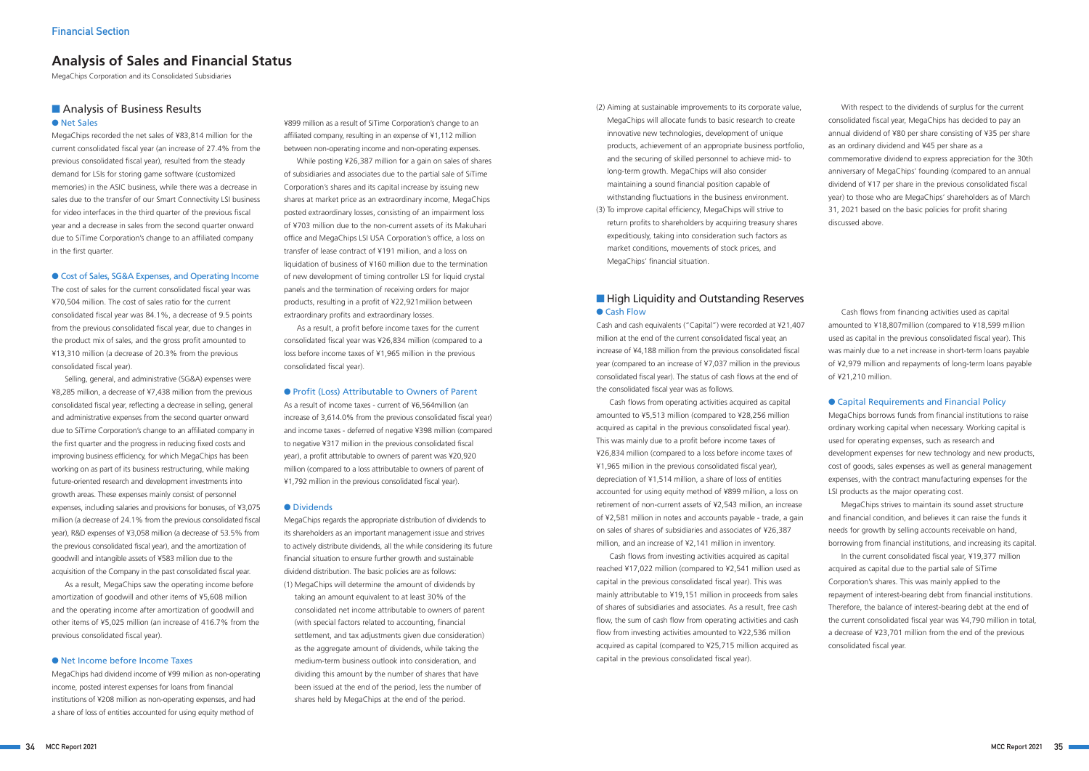## ■ Analysis of Business Results ● Net Sales

MegaChips recorded the net sales of ¥83,814 million for the current consolidated fiscal year (an increase of 27.4% from the previous consolidated fiscal year), resulted from the steady demand for LSIs for storing game software (customized memories) in the ASIC business, while there was a decrease in sales due to the transfer of our Smart Connectivity LSI business for video interfaces in the third quarter of the previous fiscal year and a decrease in sales from the second quarter onward due to SiTime Corporation's change to an affiliated company in the first quarter.

#### ● Cost of Sales, SG&A Expenses, and Operating Income

The cost of sales for the current consolidated fiscal year was ¥70,504 million. The cost of sales ratio for the current consolidated fiscal year was 84.1%, a decrease of 9.5 points from the previous consolidated fiscal year, due to changes in the product mix of sales, and the gross profit amounted to ¥13,310 million (a decrease of 20.3% from the previous consolidated fiscal year).

Selling, general, and administrative (SG&A) expenses were ¥8,285 million, a decrease of ¥7,438 million from the previous consolidated fiscal year, reflecting a decrease in selling, general and administrative expenses from the second quarter onward due to SiTime Corporation's change to an affiliated company in the first quarter and the progress in reducing fixed costs and improving business efficiency, for which MegaChips has been working on as part of its business restructuring, while making future-oriented research and development investments into growth areas. These expenses mainly consist of personnel expenses, including salaries and provisions for bonuses, of ¥3,075 million (a decrease of 24.1% from the previous consolidated fiscal year), R&D expenses of ¥3,058 million (a decrease of 53.5% from the previous consolidated fiscal year), and the amortization of goodwill and intangible assets of ¥583 million due to the acquisition of the Company in the past consolidated fiscal year.

As a result, MegaChips saw the operating income before amortization of goodwill and other items of ¥5,608 million and the operating income after amortization of goodwill and other items of ¥5,025 million (an increase of 416.7% from the previous consolidated fiscal year).

#### ● Net Income before Income Taxes

MegaChips had dividend income of ¥99 million as non-operating income, posted interest expenses for loans from financial institutions of ¥208 million as non-operating expenses, and had a share of loss of entities accounted for using equity method of

¥899 million as a result of SiTime Corporation's change to an affiliated company, resulting in an expense of ¥1,112 million between non-operating income and non-operating expenses.

While posting ¥26,387 million for a gain on sales of shares of subsidiaries and associates due to the partial sale of SiTime Corporation's shares and its capital increase by issuing new shares at market price as an extraordinary income, MegaChips posted extraordinary losses, consisting of an impairment loss of ¥703 million due to the non-current assets of its Makuhari office and MegaChips LSI USA Corporation's office, a loss on transfer of lease contract of ¥191 million, and a loss on liquidation of business of ¥160 million due to the termination of new development of timing controller LSI for liquid crystal panels and the termination of receiving orders for major products, resulting in a profit of ¥22,921million between extraordinary profits and extraordinary losses.

As a result, a profit before income taxes for the current consolidated fiscal year was ¥26,834 million (compared to a loss before income taxes of ¥1,965 million in the previous consolidated fiscal year).

#### ● Profit (Loss) Attributable to Owners of Parent

As a result of income taxes - current of ¥6,564million (an increase of 3,614.0% from the previous consolidated fiscal year) and income taxes - deferred of negative ¥398 million (compared to negative ¥317 million in the previous consolidated fiscal year), a profit attributable to owners of parent was ¥20,920 million (compared to a loss attributable to owners of parent of ¥1,792 million in the previous consolidated fiscal year).

#### ● Dividends

MegaChips regards the appropriate distribution of dividends to its shareholders as an important management issue and strives to actively distribute dividends, all the while considering its future financial situation to ensure further growth and sustainable dividend distribution. The basic policies are as follows: (1) MegaChips will determine the amount of dividends by taking an amount equivalent to at least 30% of the consolidated net income attributable to owners of parent (with special factors related to accounting, financial settlement, and tax adjustments given due consideration) as the aggregate amount of dividends, while taking the medium-term business outlook into consideration, and dividing this amount by the number of shares that have been issued at the end of the period, less the number of shares held by MegaChips at the end of the period.

# **Analysis of Sales and Financial Status**

MegaChips Corporation and its Consolidated Subsidiaries

- (2) Aiming at sustainable improvements to its corporate value, MegaChips will allocate funds to basic research to create innovative new technologies, development of unique products, achievement of an appropriate business portfolio, and the securing of skilled personnel to achieve mid- to long-term growth. MegaChips will also consider maintaining a sound financial position capable of withstanding fluctuations in the business environment.
- (3) To improve capital efficiency, MegaChips will strive to return profits to shareholders by acquiring treasury shares expeditiously, taking into consideration such factors as market conditions, movements of stock prices, and MegaChips' financial situation.

## ■ High Liquidity and Outstanding Reserves ● Cash Flow

With respect to the dividends of surplus for the current consolidated fiscal year, MegaChips has decided to pay an annual dividend of ¥80 per share consisting of ¥35 per share as an ordinary dividend and ¥45 per share as a commemorative dividend to express appreciation for the 30th anniversary of MegaChips' founding (compared to an annual dividend of ¥17 per share in the previous consolidated fiscal year) to those who are MegaChips' shareholders as of March 31, 2021 based on the basic policies for profit sharing discussed above.

Cash and cash equivalents ("Capital") were recorded at ¥21,407 million at the end of the current consolidated fiscal year, an increase of ¥4,188 million from the previous consolidated fiscal year (compared to an increase of ¥7,037 million in the previous consolidated fiscal year). The status of cash flows at the end of the consolidated fiscal year was as follows.

Cash flows from operating activities acquired as capital amounted to ¥5,513 million (compared to ¥28,256 million acquired as capital in the previous consolidated fiscal year). This was mainly due to a profit before income taxes of ¥26,834 million (compared to a loss before income taxes of ¥1,965 million in the previous consolidated fiscal year), depreciation of ¥1,514 million, a share of loss of entities accounted for using equity method of ¥899 million, a loss on retirement of non-current assets of ¥2,543 million, an increase of ¥2,581 million in notes and accounts payable - trade, a gain on sales of shares of subsidiaries and associates of ¥26,387 million, and an increase of ¥2,141 million in inventory.

Cash flows from investing activities acquired as capital reached ¥17,022 million (compared to ¥2,541 million used as capital in the previous consolidated fiscal year). This was mainly attributable to ¥19,151 million in proceeds from sales of shares of subsidiaries and associates. As a result, free cash flow, the sum of cash flow from operating activities and cash flow from investing activities amounted to ¥22,536 million acquired as capital (compared to ¥25,715 million acquired as capital in the previous consolidated fiscal year).

Cash flows from financing activities used as capital amounted to ¥18,807million (compared to ¥18,599 million used as capital in the previous consolidated fiscal year). This was mainly due to a net increase in short-term loans payable of ¥2,979 million and repayments of long-term loans payable of ¥21,210 million.

#### ● Capital Requirements and Financial Policy

MegaChips borrows funds from financial institutions to raise ordinary working capital when necessary. Working capital is used for operating expenses, such as research and development expenses for new technology and new products, cost of goods, sales expenses as well as general management expenses, with the contract manufacturing expenses for the LSI products as the major operating cost.

MegaChips strives to maintain its sound asset structure and financial condition, and believes it can raise the funds it needs for growth by selling accounts receivable on hand, borrowing from financial institutions, and increasing its capital.

In the current consolidated fiscal year, ¥19,377 million acquired as capital due to the partial sale of SiTime Corporation's shares. This was mainly applied to the repayment of interest-bearing debt from financial institutions. Therefore, the balance of interest-bearing debt at the end of the current consolidated fiscal year was ¥4,790 million in total, a decrease of ¥23,701 million from the end of the previous consolidated fiscal year.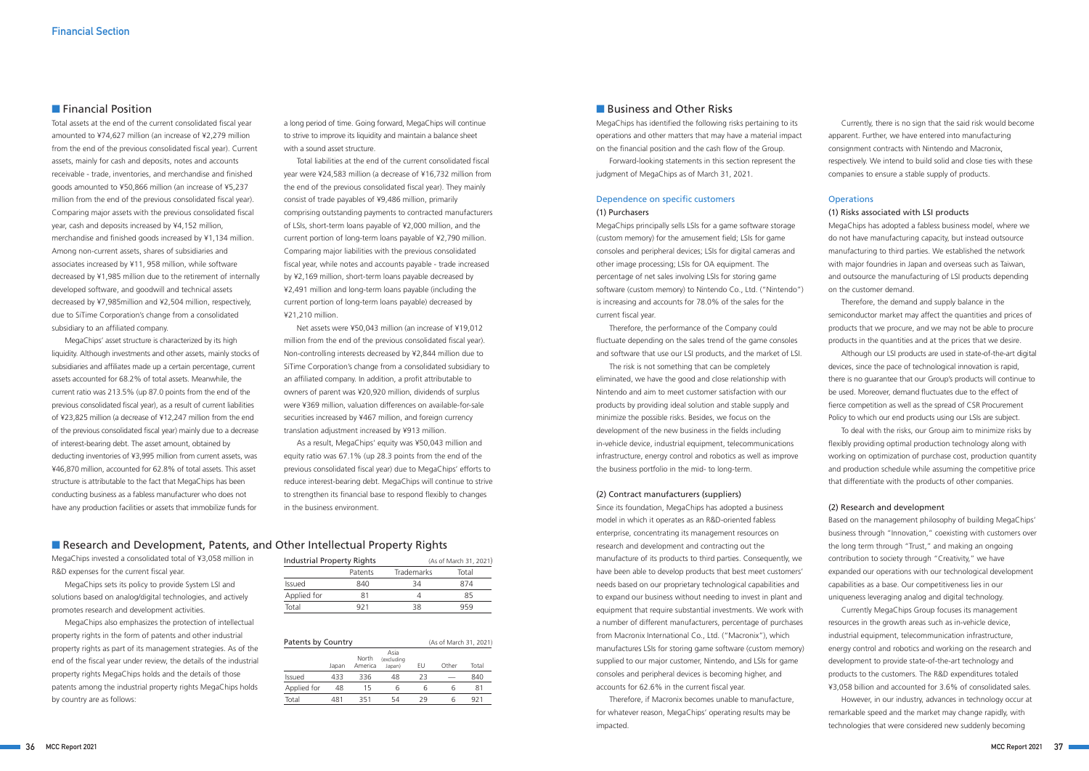Total assets at the end of the current consolidated fiscal year amounted to ¥74,627 million (an increase of ¥2,279 million from the end of the previous consolidated fiscal year). Current assets, mainly for cash and deposits, notes and accounts receivable - trade, inventories, and merchandise and finished goods amounted to ¥50,866 million (an increase of ¥5,237 million from the end of the previous consolidated fiscal year). Comparing major assets with the previous consolidated fiscal year, cash and deposits increased by ¥4,152 million, merchandise and finished goods increased by ¥1,134 million. Among non-current assets, shares of subsidiaries and associates increased by ¥11, 958 million, while software decreased by ¥1,985 million due to the retirement of internally developed software, and goodwill and technical assets decreased by ¥7,985million and ¥2,504 million, respectively, due to SiTime Corporation's change from a consolidated subsidiary to an affiliated company.

MegaChips' asset structure is characterized by its high liquidity. Although investments and other assets, mainly stocks of subsidiaries and affiliates made up a certain percentage, current assets accounted for 68.2% of total assets. Meanwhile, the current ratio was 213.5% (up 87.0 points from the end of the previous consolidated fiscal year), as a result of current liabilities of ¥23,825 million (a decrease of ¥12,247 million from the end of the previous consolidated fiscal year) mainly due to a decrease of interest-bearing debt. The asset amount, obtained by deducting inventories of ¥3,995 million from current assets, was ¥46,870 million, accounted for 62.8% of total assets. This asset structure is attributable to the fact that MegaChips has been conducting business as a fabless manufacturer who does not have any production facilities or assets that immobilize funds for

a long period of time. Going forward, MegaChips will continue to strive to improve its liquidity and maintain a balance sheet with a sound asset structure.

Total liabilities at the end of the current consolidated fiscal year were ¥24,583 million (a decrease of ¥16,732 million from the end of the previous consolidated fiscal year). They mainly consist of trade payables of ¥9,486 million, primarily comprising outstanding payments to contracted manufacturers of LSIs, short-term loans payable of ¥2,000 million, and the current portion of long-term loans payable of ¥2,790 million. Comparing major liabilities with the previous consolidated fiscal year, while notes and accounts payable - trade increased by ¥2,169 million, short-term loans payable decreased by ¥2,491 million and long-term loans payable (including the current portion of long-term loans payable) decreased by ¥21,210 million.

Net assets were ¥50,043 million (an increase of ¥19,012 million from the end of the previous consolidated fiscal year). Non-controlling interests decreased by ¥2,844 million due to SiTime Corporation's change from a consolidated subsidiary to an affiliated company. In addition, a profit attributable to owners of parent was ¥20,920 million, dividends of surplus were ¥369 million, valuation differences on available-for-sale securities increased by ¥467 million, and foreign currency translation adjustment increased by ¥913 million.

As a result, MegaChips' equity was ¥50,043 million and equity ratio was 67.1% (up 28.3 points from the end of the previous consolidated fiscal year) due to MegaChips' efforts to reduce interest-bearing debt. MegaChips will continue to strive to strengthen its financial base to respond flexibly to changes in the business environment.

## ■ Research and Development, Patents, and Other Intellectual Property Rights

MegaChips invested a consolidated total of ¥3,058 million in R&D expenses for the current fiscal year.

MegaChips sets its policy to provide System LSI and solutions based on analog/digital technologies, and actively promotes research and development activities.

MegaChips also emphasizes the protection of intellectual property rights in the form of patents and other industrial property rights as part of its management strategies. As of the end of the fiscal year under review, the details of the industrial property rights MegaChips holds and the details of those patents among the industrial property rights MegaChips holds by country are as follows:

| <b>Industrial Property Rights</b> |         | (As of March 31, 2021) |       |  |  |  |  |  |
|-----------------------------------|---------|------------------------|-------|--|--|--|--|--|
|                                   | Patents | <b>Trademarks</b>      | Total |  |  |  |  |  |
| Issued                            | 840     | 34                     | 874   |  |  |  |  |  |
| Applied for                       | 81      |                        | 85    |  |  |  |  |  |
| Total                             | 921     | 38                     | 959   |  |  |  |  |  |

| Patents by Country |       | (As of March 31, 2021) |                              |    |       |       |  |  |
|--------------------|-------|------------------------|------------------------------|----|-------|-------|--|--|
|                    | Japan | North<br>America       | Asia<br>(excluding<br>Japan) | EU | Other | Total |  |  |
| <b>Issued</b>      | 433   | 336                    | 48                           | フ3 |       | 840   |  |  |
| Applied for        | 48    | 15                     | ჩ                            | h  | h     | 81    |  |  |
| Total              | 481   | 351                    | 54                           | 29 |       | 921   |  |  |

#### ■ Business and Other Risks

## ■ Financial Position

MegaChips has identified the following risks pertaining to its operations and other matters that may have a material impact on the financial position and the cash flow of the Group.

Forward-looking statements in this section represent the judgment of MegaChips as of March 31, 2021.

#### Dependence on specific customers (1) Purchasers

MegaChips principally sells LSIs for a game software storage (custom memory) for the amusement field; LSIs for game consoles and peripheral devices; LSIs for digital cameras and other image processing; LSIs for OA equipment. The percentage of net sales involving LSIs for storing game software (custom memory) to Nintendo Co., Ltd. ("Nintendo") is increasing and accounts for 78.0% of the sales for the current fiscal year.

Therefore, the performance of the Company could fluctuate depending on the sales trend of the game consoles and software that use our LSI products, and the market of LSI.

The risk is not something that can be completely eliminated, we have the good and close relationship with Nintendo and aim to meet customer satisfaction with our products by providing ideal solution and stable supply and minimize the possible risks. Besides, we focus on the development of the new business in the fields including in-vehicle device, industrial equipment, telecommunications infrastructure, energy control and robotics as well as improve the business portfolio in the mid- to long-term.

#### (2) Contract manufacturers (suppliers)

Since its foundation, MegaChips has adopted a business model in which it operates as an R&D-oriented fabless enterprise, concentrating its management resources on research and development and contracting out the manufacture of its products to third parties. Consequently, we have been able to develop products that best meet customers' needs based on our proprietary technological capabilities and to expand our business without needing to invest in plant and equipment that require substantial investments. We work with a number of different manufacturers, percentage of purchases from Macronix International Co., Ltd. ("Macronix"), which manufactures LSIs for storing game software (custom memory) supplied to our major customer, Nintendo, and LSIs for game consoles and peripheral devices is becoming higher, and accounts for 62.6% in the current fiscal year.

Therefore, if Macronix becomes unable to manufacture, for whatever reason, MegaChips' operating results may be impacted.

Currently, there is no sign that the said risk would become apparent. Further, we have entered into manufacturing consignment contracts with Nintendo and Macronix, respectively. We intend to build solid and close ties with these companies to ensure a stable supply of products.

#### **Operations**

#### (1) Risks associated with LSI products

MegaChips has adopted a fabless business model, where we do not have manufacturing capacity, but instead outsource manufacturing to third parties. We established the network with major foundries in Japan and overseas such as Taiwan, and outsource the manufacturing of LSI products depending on the customer demand.

Therefore, the demand and supply balance in the semiconductor market may affect the quantities and prices of products that we procure, and we may not be able to procure products in the quantities and at the prices that we desire.

Although our LSI products are used in state-of-the-art digital devices, since the pace of technological innovation is rapid, there is no guarantee that our Group's products will continue to be used. Moreover, demand fluctuates due to the effect of fierce competition as well as the spread of CSR Procurement Policy to which our end products using our LSIs are subject.

To deal with the risks, our Group aim to minimize risks by flexibly providing optimal production technology along with working on optimization of purchase cost, production quantity and production schedule while assuming the competitive price that differentiate with the products of other companies.

#### (2) Research and development

Based on the management philosophy of building MegaChips' business through "Innovation," coexisting with customers over the long term through "Trust," and making an ongoing contribution to society through "Creativity," we have expanded our operations with our technological development capabilities as a base. Our competitiveness lies in our uniqueness leveraging analog and digital technology.

Currently MegaChips Group focuses its management resources in the growth areas such as in-vehicle device, industrial equipment, telecommunication infrastructure, energy control and robotics and working on the research and development to provide state-of-the-art technology and products to the customers. The R&D expenditures totaled ¥3,058 billion and accounted for 3.6% of consolidated sales.

However, in our industry, advances in technology occur at remarkable speed and the market may change rapidly, with technologies that were considered new suddenly becoming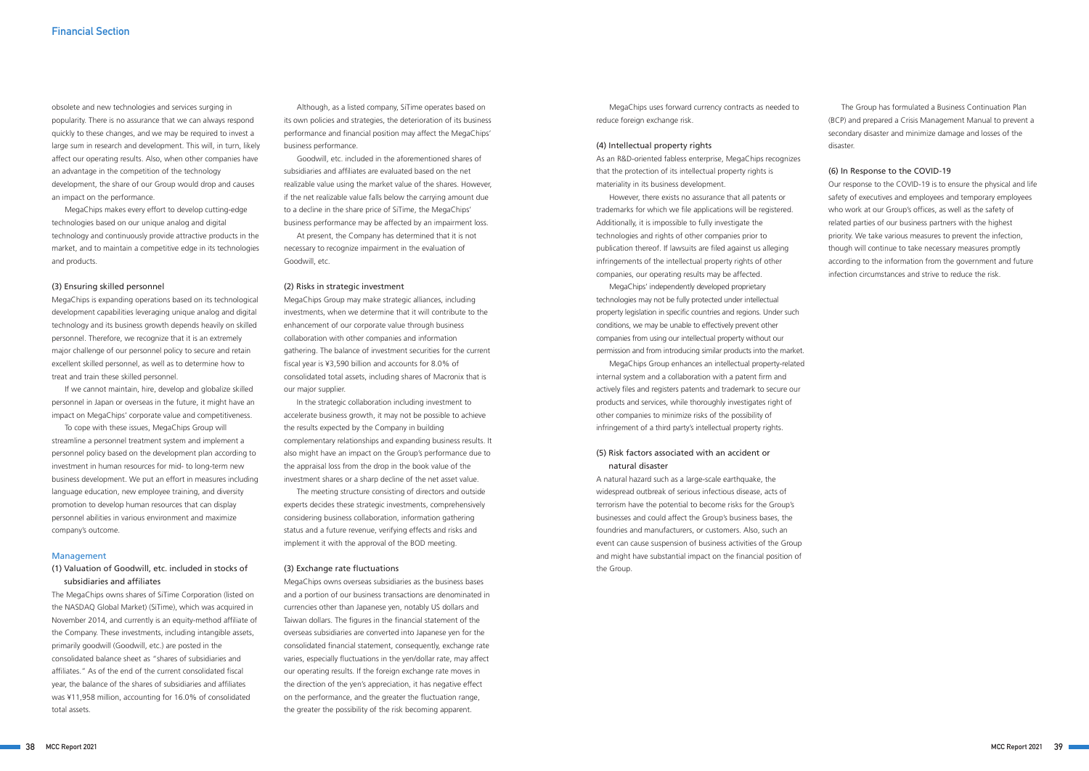#### obsolete and new technologies and services surging in

popularity. There is no assurance that we can always respond quickly to these changes, and we may be required to invest a large sum in research and development. This will, in turn, likely affect our operating results. Also, when other companies have an advantage in the competition of the technology development, the share of our Group would drop and causes an impact on the performance.

MegaChips makes every effort to develop cutting-edge technologies based on our unique analog and digital technology and continuously provide attractive products in the market, and to maintain a competitive edge in its technologies and products.

#### (3) Ensuring skilled personnel

MegaChips is expanding operations based on its technological development capabilities leveraging unique analog and digital technology and its business growth depends heavily on skilled personnel. Therefore, we recognize that it is an extremely major challenge of our personnel policy to secure and retain excellent skilled personnel, as well as to determine how to treat and train these skilled personnel.

If we cannot maintain, hire, develop and globalize skilled personnel in Japan or overseas in the future, it might have an impact on MegaChips' corporate value and competitiveness.

To cope with these issues, MegaChips Group will streamline a personnel treatment system and implement a personnel policy based on the development plan according to investment in human resources for mid- to long-term new business development. We put an effort in measures including language education, new employee training, and diversity promotion to develop human resources that can display personnel abilities in various environment and maximize company's outcome.

#### Management

#### (1) Valuation of Goodwill, etc. included in stocks of subsidiaries and affiliates

The MegaChips owns shares of SiTime Corporation (listed on the NASDAQ Global Market) (SiTime), which was acquired in November 2014, and currently is an equity-method affiliate of the Company. These investments, including intangible assets, primarily goodwill (Goodwill, etc.) are posted in the consolidated balance sheet as "shares of subsidiaries and affiliates." As of the end of the current consolidated fiscal year, the balance of the shares of subsidiaries and affiliates was ¥11,958 million, accounting for 16.0% of consolidated total assets.

MegaChips uses forward currency contracts as needed to reduce foreign exchange risk.

Although, as a listed company, SiTime operates based on its own policies and strategies, the deterioration of its business performance and financial position may affect the MegaChips' business performance.

Goodwill, etc. included in the aforementioned shares of subsidiaries and affiliates are evaluated based on the net realizable value using the market value of the shares. However, if the net realizable value falls below the carrying amount due to a decline in the share price of SiTime, the MegaChips' business performance may be affected by an impairment loss.

At present, the Company has determined that it is not necessary to recognize impairment in the evaluation of Goodwill, etc.

#### (2) Risks in strategic investment

MegaChips Group may make strategic alliances, including investments, when we determine that it will contribute to the enhancement of our corporate value through business collaboration with other companies and information gathering. The balance of investment securities for the current fiscal year is ¥3,590 billion and accounts for 8.0% of consolidated total assets, including shares of Macronix that is our major supplier.

In the strategic collaboration including investment to accelerate business growth, it may not be possible to achieve the results expected by the Company in building complementary relationships and expanding business results. It also might have an impact on the Group's performance due to the appraisal loss from the drop in the book value of the investment shares or a sharp decline of the net asset value.

The meeting structure consisting of directors and outside experts decides these strategic investments, comprehensively considering business collaboration, information gathering status and a future revenue, verifying effects and risks and implement it with the approval of the BOD meeting.

#### (3) Exchange rate fluctuations

MegaChips owns overseas subsidiaries as the business bases and a portion of our business transactions are denominated in currencies other than Japanese yen, notably US dollars and Taiwan dollars. The figures in the financial statement of the overseas subsidiaries are converted into Japanese yen for the consolidated financial statement, consequently, exchange rate varies, especially fluctuations in the yen/dollar rate, may affect our operating results. If the foreign exchange rate moves in the direction of the yen's appreciation, it has negative effect on the performance, and the greater the fluctuation range, the greater the possibility of the risk becoming apparent.

#### (4) Intellectual property rights

As an R&D-oriented fabless enterprise, MegaChips recognizes that the protection of its intellectual property rights is materiality in its business development.

However, there exists no assurance that all patents or trademarks for which we file applications will be registered. Additionally, it is impossible to fully investigate the technologies and rights of other companies prior to publication thereof. If lawsuits are filed against us alleging infringements of the intellectual property rights of other companies, our operating results may be affected.

MegaChips' independently developed proprietary technologies may not be fully protected under intellectual property legislation in specific countries and regions. Under such conditions, we may be unable to effectively prevent other companies from using our intellectual property without our permission and from introducing similar products into the market.

MegaChips Group enhances an intellectual property-related internal system and a collaboration with a patent firm and actively files and registers patents and trademark to secure our products and services, while thoroughly investigates right of other companies to minimize risks of the possibility of infringement of a third party's intellectual property rights.

#### (5) Risk factors associated with an accident or natural disaster

A natural hazard such as a large-scale earthquake, the widespread outbreak of serious infectious disease, acts of terrorism have the potential to become risks for the Group's businesses and could affect the Group's business bases, the foundries and manufacturers, or customers. Also, such an event can cause suspension of business activities of the Group and might have substantial impact on the financial position of the Group.

The Group has formulated a Business Continuation Plan (BCP) and prepared a Crisis Management Manual to prevent a secondary disaster and minimize damage and losses of the disaster.

#### (6) In Response to the COVID-19

Our response to the COVID-19 is to ensure the physical and life safety of executives and employees and temporary employees who work at our Group's offices, as well as the safety of related parties of our business partners with the highest priority. We take various measures to prevent the infection, though will continue to take necessary measures promptly according to the information from the government and future infection circumstances and strive to reduce the risk.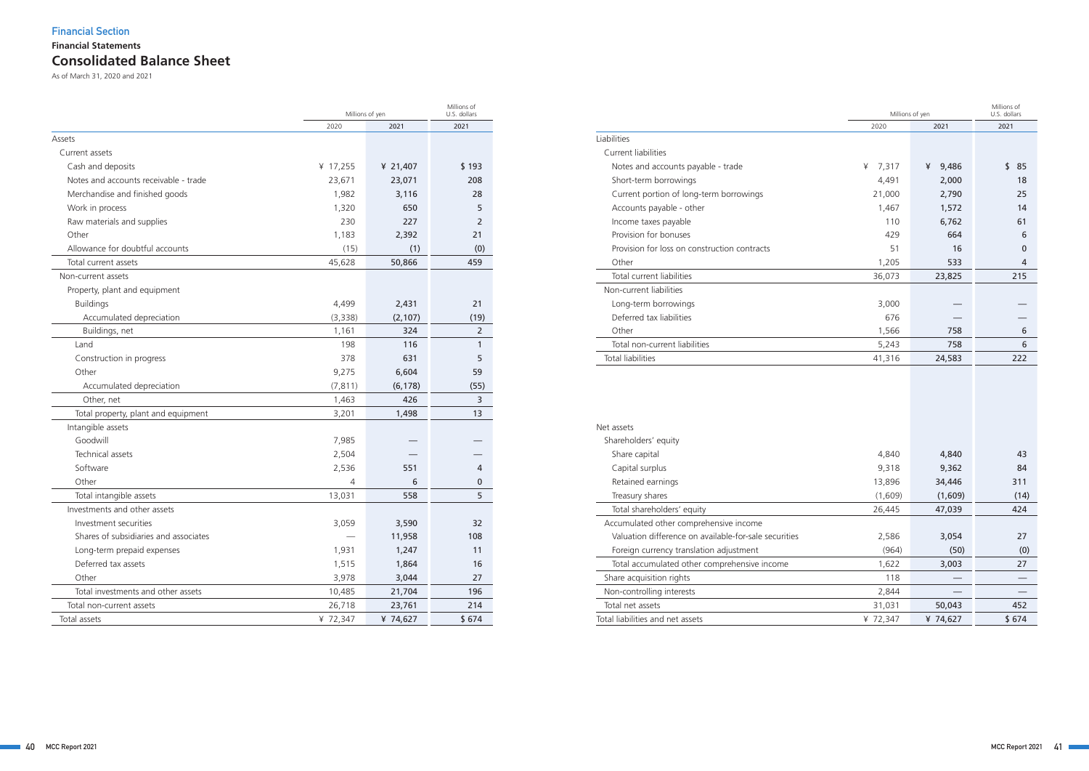# **Consolidated Balance Sheet Financial Statements Financial Section**

|                                       |          | Millions of yen |                  |  |  |  |  |
|---------------------------------------|----------|-----------------|------------------|--|--|--|--|
|                                       | 2020     | 2021            | 2021             |  |  |  |  |
| Assets                                |          |                 |                  |  |  |  |  |
| Current assets                        |          |                 |                  |  |  |  |  |
| Cash and deposits                     | ¥ 17,255 | ¥ 21,407        | \$193            |  |  |  |  |
| Notes and accounts receivable - trade | 23,671   | 23,071          | 208              |  |  |  |  |
| Merchandise and finished goods        | 1,982    | 3,116           | 28               |  |  |  |  |
| Work in process                       | 1,320    | 650             | 5                |  |  |  |  |
| Raw materials and supplies            | 230      | 227             | 2                |  |  |  |  |
| Other                                 | 1,183    | 2,392           | 21               |  |  |  |  |
| Allowance for doubtful accounts       | (15)     | (1)             | (0)              |  |  |  |  |
| Total current assets                  | 45,628   | 50,866          | 459              |  |  |  |  |
| Non-current assets                    |          |                 |                  |  |  |  |  |
| Property, plant and equipment         |          |                 |                  |  |  |  |  |
| <b>Buildings</b>                      | 4,499    | 2,431           | 21               |  |  |  |  |
| Accumulated depreciation              | (3,338)  | (2, 107)        | (19)             |  |  |  |  |
| Buildings, net                        | 1,161    | 324             | 2                |  |  |  |  |
| Land                                  | 198      | 116             | 1                |  |  |  |  |
| Construction in progress              | 378      | 631             | 5                |  |  |  |  |
| Other                                 | 9,275    | 6,604           | 59               |  |  |  |  |
| Accumulated depreciation              | (7, 811) | (6, 178)        | (55)             |  |  |  |  |
| Other, net                            | 1,463    | 426             | 3                |  |  |  |  |
| Total property, plant and equipment   | 3,201    | 1,498           | 13               |  |  |  |  |
| Intangible assets                     |          |                 |                  |  |  |  |  |
| Goodwill                              | 7,985    |                 |                  |  |  |  |  |
| Technical assets                      | 2,504    |                 |                  |  |  |  |  |
| Software                              | 2,536    | 551             | 4                |  |  |  |  |
| Other                                 | 4        | 6               | $\boldsymbol{0}$ |  |  |  |  |
| Total intangible assets               | 13,031   | 558             | 5                |  |  |  |  |
| Investments and other assets          |          |                 |                  |  |  |  |  |
| Investment securities                 | 3,059    | 3,590           | 32               |  |  |  |  |
| Shares of subsidiaries and associates |          | 11,958          | 108              |  |  |  |  |
| Long-term prepaid expenses            | 1,931    | 1,247           | 11               |  |  |  |  |
| Deferred tax assets                   | 1,515    | 1,864           | 16               |  |  |  |  |
| Other                                 | 3,978    | 3,044           | 27               |  |  |  |  |
| Total investments and other assets    | 10,485   | 21,704          | 196              |  |  |  |  |
| Total non-current assets              | 26,718   | 23,761          | 214              |  |  |  |  |
| Total assets                          | ¥ 72,347 | ¥ 74,627        | \$674            |  |  |  |  |

|                                                       | Millions of yen | Millions of<br>U.S. dollars |          |
|-------------------------------------------------------|-----------------|-----------------------------|----------|
|                                                       | 2020            | 2021                        | 2021     |
| Liabilities                                           |                 |                             |          |
| Current liabilities                                   |                 |                             |          |
| Notes and accounts payable - trade                    | 7,317<br>¥      | ¥<br>9,486                  | \$<br>85 |
| Short-term borrowings                                 | 4,491           | 2,000                       | 18       |
| Current portion of long-term borrowings               | 21,000          | 2,790                       | 25       |
| Accounts payable - other                              | 1,467           | 1,572                       | 14       |
| Income taxes payable                                  | 110             | 6,762                       | 61       |
| Provision for bonuses                                 | 429             | 664                         | 6        |
| Provision for loss on construction contracts          | 51              | 16                          | 0        |
| Other                                                 | 1,205           | 533                         | 4        |
| Total current liabilities                             | 36,073          | 23,825                      | 215      |
| Non-current liabilities                               |                 |                             |          |
| Long-term borrowings                                  | 3,000           |                             |          |
| Deferred tax liabilities                              | 676             |                             |          |
| Other                                                 | 1,566           | 758                         | 6        |
| Total non-current liabilities                         | 5,243           | 758                         | 6        |
| <b>Total liabilities</b>                              | 41,316          | 24,583                      | 222      |
| Net assets                                            |                 |                             |          |
| Shareholders' equity                                  |                 |                             |          |
| Share capital                                         | 4,840           | 4,840                       | 43       |
| Capital surplus                                       | 9,318           | 9,362                       | 84       |
| Retained earnings                                     | 13,896          | 34,446                      | 311      |
| Treasury shares                                       | (1,609)         | (1,609)                     | (14)     |
| Total shareholders' equity                            | 26,445          | 47,039                      | 424      |
| Accumulated other comprehensive income                |                 |                             |          |
| Valuation difference on available-for-sale securities | 2,586           | 3,054                       | 27       |
| Foreign currency translation adjustment               | (964)           | (50)                        | (0)      |
| Total accumulated other comprehensive income          | 1,622           | 3,003                       | 27       |
| Share acquisition rights                              | 118             |                             |          |
| Non-controlling interests                             | 2,844           |                             |          |
| Total net assets                                      | 31,031          | 50,043                      | 452      |
| Total liabilities and net assets                      | ¥ 72,347        | ¥ 74,627                    | \$674    |

As of March 31, 2020 and 2021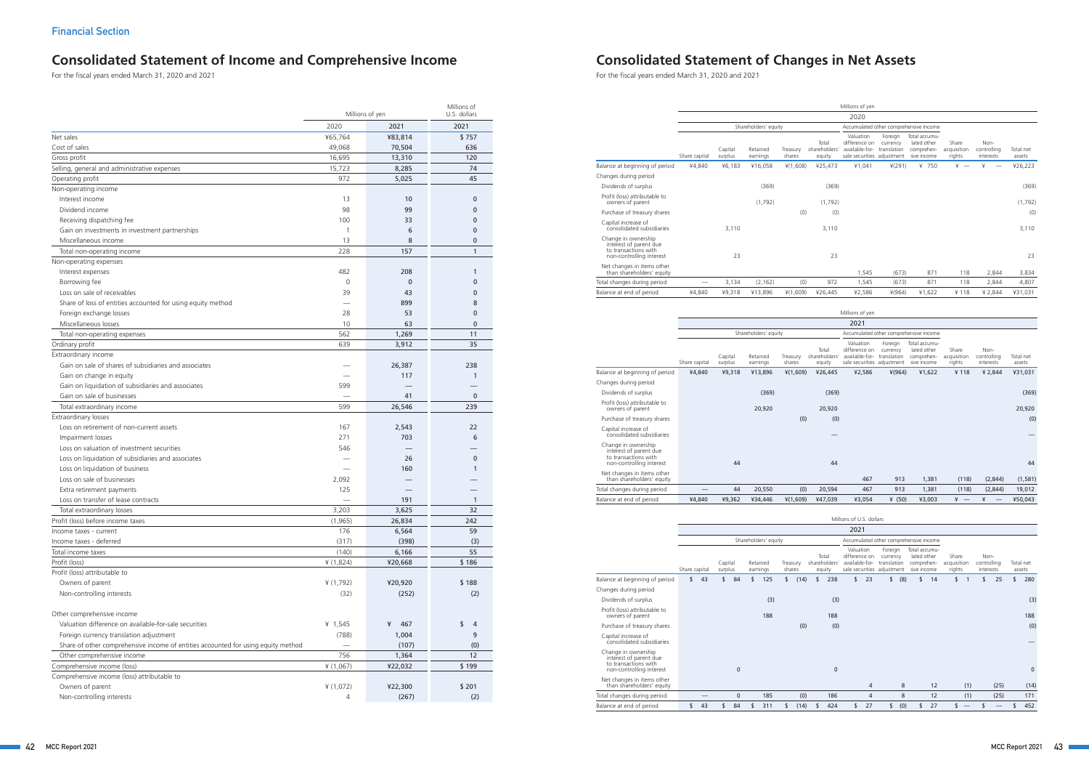# **Consolidated Statement of Income and Comprehensive Income Consolidated Statement of Changes in Net Assets**

|                                                                                   | Millions of yen | Millions of<br>U.S. dollars |              |
|-----------------------------------------------------------------------------------|-----------------|-----------------------------|--------------|
|                                                                                   | 2020            | 2021                        | 2021         |
| Net sales                                                                         | ¥65,764         | ¥83,814                     | \$757        |
| Cost of sales                                                                     | 49,068          | 70,504                      | 636          |
| Gross profit                                                                      | 16,695          | 13,310                      | 120          |
| Selling, general and administrative expenses                                      | 15,723          | 8,285                       | 74           |
| Operating profit                                                                  | 972             | 5,025                       | 45           |
| Non-operating income                                                              |                 |                             |              |
| Interest income                                                                   | 13              | 10                          | 0            |
| Dividend income                                                                   | 98              | 99                          | 0            |
| Receiving dispatching fee                                                         | 100             | 33                          | 0            |
| Gain on investments in investment partnerships                                    | 1               | 6                           | 0            |
| Miscellaneous income                                                              | 13              | 8                           | $\mathbf{0}$ |
| Total non-operating income                                                        | 228             | 157                         | 1            |
| Non-operating expenses                                                            |                 |                             |              |
| Interest expenses                                                                 | 482             | 208                         | 1            |
| Borrowing fee                                                                     | $\mathbf 0$     | $\mathbf 0$                 | $\mathbf{0}$ |
| Loss on sale of receivables                                                       | 39              | 43                          | $\mathbf{0}$ |
|                                                                                   |                 |                             |              |
| Share of loss of entities accounted for using equity method                       |                 | 899                         | 8            |
| Foreign exchange losses                                                           | 28              | 53                          | $\mathbf{0}$ |
| Miscellaneous losses                                                              | 10              | 63                          | $\mathbf{0}$ |
| Total non-operating expenses                                                      | 562             | 1,269                       | 11           |
| Ordinary profit                                                                   | 639             | 3,912                       | 35           |
| Extraordinary income                                                              |                 |                             |              |
| Gain on sale of shares of subsidiaries and associates                             |                 | 26,387                      | 238          |
| Gain on change in equity                                                          |                 | 117                         | $\mathbf{1}$ |
| Gain on liquidation of subsidiaries and associates                                | 599             |                             |              |
| Gain on sale of businesses                                                        |                 | 41                          | $\mathbf{0}$ |
| Total extraordinary income                                                        | 599             | 26,546                      | 239          |
| Extraordinary losses                                                              |                 |                             |              |
| Loss on retirement of non-current assets                                          | 167             | 2,543                       | 22           |
| Impairment losses                                                                 | 271             | 703                         | 6            |
| Loss on valuation of investment securities                                        | 546             |                             |              |
| Loss on liquidation of subsidiaries and associates                                |                 | 26                          | $\mathbf 0$  |
| Loss on liquidation of business                                                   |                 | 160                         | $\mathbf{1}$ |
| Loss on sale of businesses                                                        | 2,092           |                             |              |
| Extra retirement payments                                                         | 125             |                             |              |
| Loss on transfer of lease contracts                                               |                 | 191                         | 1            |
| Total extraordinary losses                                                        | 3,203           | 3,625                       | 32           |
| Profit (loss) before income taxes                                                 | (1, 965)        | 26,834                      | 242          |
| Income taxes - current                                                            | 176             | 6,564                       | 59           |
| Income taxes - deferred                                                           | (317)           | (398)                       | (3)          |
| Total income taxes                                                                | (140)           | 6,166                       | 55           |
| Profit (loss)                                                                     | ¥ (1,824)       | ¥20,668                     | \$186        |
| Profit (loss) attributable to                                                     |                 |                             |              |
| Owners of parent                                                                  | ¥ (1,792)       | ¥20,920                     | \$188        |
| Non-controlling interests                                                         | (32)            | (252)                       | (2)          |
|                                                                                   |                 |                             |              |
| Other comprehensive income                                                        |                 |                             |              |
| Valuation difference on available-for-sale securities                             | ¥ $1,545$       | 467<br>¥                    | \$<br>4      |
| Foreign currency translation adjustment                                           | (788)           | 1,004                       | 9            |
| Share of other comprehensive income of entities accounted for using equity method |                 | (107)                       | (0)          |
| Other comprehensive income                                                        | 756             | 1,364                       | 12           |
| Comprehensive income (loss)                                                       | ¥ (1,067)       | ¥22,032                     | \$199        |
| Comprehensive income (loss) attributable to                                       |                 |                             |              |
| Owners of parent                                                                  | ¥ (1,072)       | ¥22,300                     | \$201        |
| Non-controlling interests                                                         | 4               | (267)                       | (2)          |
|                                                                                   |                 |                             |              |

|                                                                                                   |                          |                    |                      |                    |                                  | Millions of yen                                                                        |                     |                                                           |                                |                                  |                     |
|---------------------------------------------------------------------------------------------------|--------------------------|--------------------|----------------------|--------------------|----------------------------------|----------------------------------------------------------------------------------------|---------------------|-----------------------------------------------------------|--------------------------------|----------------------------------|---------------------|
|                                                                                                   |                          |                    |                      |                    |                                  | 2020                                                                                   |                     |                                                           |                                |                                  |                     |
|                                                                                                   |                          |                    | Shareholders' equity |                    |                                  |                                                                                        |                     | Accumulated other comprehensive income                    |                                |                                  |                     |
|                                                                                                   | Share capital            | Capital<br>surplus | Retained<br>earnings | Treasury<br>shares | Total<br>shareholders'<br>equity | Valuation<br>difference on<br>available-for- translation<br>sale securities adjustment | Foreign<br>currency | Total accumu-<br>lated other<br>comprehen-<br>sive income | Share<br>acquisition<br>rights | Non-<br>controlling<br>interests | Total net<br>assets |
| Balance at beginning of period                                                                    | ¥4,840                   | ¥6,183             | ¥16,058              | $*(1,608)$         | ¥25,473                          | ¥1,041                                                                                 | ¥(291)              | ¥ 750                                                     | ¥                              | ¥                                | ¥26,223             |
| Changes during period                                                                             |                          |                    |                      |                    |                                  |                                                                                        |                     |                                                           |                                |                                  |                     |
| Dividends of surplus                                                                              |                          |                    | (369)                |                    | (369)                            |                                                                                        |                     |                                                           |                                |                                  | (369)               |
| Profit (loss) attributable to<br>owners of parent                                                 |                          |                    | (1,792)              |                    | (1,792)                          |                                                                                        |                     |                                                           |                                |                                  | (1,792)             |
| Purchase of treasury shares                                                                       |                          |                    |                      | (0)                | (0)                              |                                                                                        |                     |                                                           |                                |                                  | (0)                 |
| Capital increase of<br>consolidated subsidiaries                                                  |                          | 3.110              |                      |                    | 3.110                            |                                                                                        |                     |                                                           |                                |                                  | 3.110               |
| Change in ownership<br>interest of parent due<br>to transactions with<br>non-controlling interest |                          | 23                 |                      |                    | 23                               |                                                                                        |                     |                                                           |                                |                                  | 23                  |
| Net changes in items other<br>than shareholders' equity                                           |                          |                    |                      |                    |                                  | 1,545                                                                                  | (673)               | 871                                                       | 118                            | 2,844                            | 3,834               |
| Total changes during period                                                                       | $\overline{\phantom{0}}$ | 3,134              | (2, 162)             | (0)                | 972                              | 1,545                                                                                  | (673)               | 871                                                       | 118                            | 2,844                            | 4,807               |
| Balance at end of period                                                                          | ¥4,840                   | ¥9,318             | ¥13,896              | ¥(1,609)           | ¥26,445                          | ¥2,586                                                                                 | $*(964)$            | ¥1,622                                                    | ¥118                           | ¥ 2,844                          | ¥31,031             |
|                                                                                                   |                          |                    |                      |                    |                                  | Millions of yen<br>2021                                                                |                     |                                                           |                                |                                  |                     |
|                                                                                                   |                          |                    | Shareholders' equity |                    |                                  |                                                                                        |                     | Accumulated other comprehensive income                    |                                |                                  |                     |
|                                                                                                   | Share capital            | Capital<br>surplus | Retained<br>earnings | Treasury<br>shares | Total<br>shareholders'<br>equity | Valuation<br>difference on<br>available-for- translation<br>sale securities adjustment | Foreign<br>currency | Total accumu-<br>lated other<br>comprehen-<br>sive income | Share<br>acquisition<br>rights | Non-<br>controlling<br>interests | Total net<br>assets |
| Balance at beginning of period                                                                    | ¥4,840                   | ¥9,318             | ¥13,896              | ¥(1,609)           | ¥26,445                          | ¥2,586                                                                                 | $*(964)$            | ¥1,622                                                    | ¥118                           | ¥ 2,844                          | ¥31,031             |
| Changes during period                                                                             |                          |                    |                      |                    |                                  |                                                                                        |                     |                                                           |                                |                                  |                     |
| Dividends of surplus                                                                              |                          |                    | (369)                |                    | (369)                            |                                                                                        |                     |                                                           |                                |                                  | (369)               |
| Profit (loss) attributable to<br>owners of parent                                                 |                          |                    | 20,920               |                    | 20,920                           |                                                                                        |                     |                                                           |                                |                                  | 20,920              |
| Purchase of treasury shares                                                                       |                          |                    |                      | (0)                | (0)                              |                                                                                        |                     |                                                           |                                |                                  | (0)                 |
| Capital increase of<br>consolidated subsidiaries                                                  |                          |                    |                      |                    |                                  |                                                                                        |                     |                                                           |                                |                                  |                     |
| Change in ownership<br>interest of parent due<br>to transactions with<br>non-controlling interest |                          | 44                 |                      |                    | 44                               |                                                                                        |                     |                                                           |                                |                                  | 44                  |
| Net changes in items other<br>than shareholders' equity                                           |                          |                    |                      |                    |                                  | 467                                                                                    | 913                 | 1,381                                                     | (118)                          | (2,844)                          | (1, 581)            |
| Total changes during period                                                                       |                          | 44                 | 20,550               | (0)                | 20,594                           | 467                                                                                    | 913                 | 1,381                                                     | (118)                          | (2,844)                          | 19,012              |
| Balance at end of period                                                                          | ¥4,840                   | ¥9,362             | ¥34,446              | $*(1,609)$         | ¥47,039                          | ¥3,054                                                                                 | ¥ $(50)$            | ¥3,003                                                    | $* -$                          | ¥                                | ¥50,043             |

|                                                                                                   |               |    |                    |              |                      |                    |      |                                  | Millions of U.S. dollars                     |                |                                                                  |     |                                                           |                                |                |                                  |      |                     |              |
|---------------------------------------------------------------------------------------------------|---------------|----|--------------------|--------------|----------------------|--------------------|------|----------------------------------|----------------------------------------------|----------------|------------------------------------------------------------------|-----|-----------------------------------------------------------|--------------------------------|----------------|----------------------------------|------|---------------------|--------------|
|                                                                                                   |               |    |                    |              |                      |                    |      |                                  | 2021                                         |                |                                                                  |     |                                                           |                                |                |                                  |      |                     |              |
|                                                                                                   |               |    |                    |              | Shareholders' equity |                    |      |                                  |                                              |                | Accumulated other comprehensive income                           |     |                                                           |                                |                |                                  |      |                     |              |
|                                                                                                   | Share capital |    | Capital<br>surplus |              | Retained<br>earnings | Treasury<br>shares |      | Total<br>shareholders'<br>equity | Valuation<br>difference on<br>available-for- |                | Foreign<br>currency<br>translation<br>sale securities adjustment |     | Total accumu-<br>lated other<br>comprehen-<br>sive income | Share<br>acquisition<br>rights |                | Non-<br>controlling<br>interests |      | Total net<br>assets |              |
| Balance at beginning of period                                                                    | \$            | 43 | \$                 | 84           | \$<br>125            | \$                 | (14) | \$<br>238                        | \$                                           | 23             | \$                                                               | (8) | \$<br>14                                                  | \$                             | $\overline{1}$ | \$                               | 25   | \$                  | 280          |
| Changes during period                                                                             |               |    |                    |              |                      |                    |      |                                  |                                              |                |                                                                  |     |                                                           |                                |                |                                  |      |                     |              |
| Dividends of surplus                                                                              |               |    |                    |              | (3)                  |                    |      | (3)                              |                                              |                |                                                                  |     |                                                           |                                |                |                                  |      |                     | (3)          |
| Profit (loss) attributable to<br>owners of parent                                                 |               |    |                    |              | 188                  |                    |      | 188                              |                                              |                |                                                                  |     |                                                           |                                |                |                                  |      |                     | 188          |
| Purchase of treasury shares                                                                       |               |    |                    |              |                      |                    | (0)  | (0)                              |                                              |                |                                                                  |     |                                                           |                                |                |                                  |      |                     | (0)          |
| Capital increase of<br>consolidated subsidiaries                                                  |               |    |                    |              |                      |                    |      |                                  |                                              |                |                                                                  |     |                                                           |                                |                |                                  |      |                     |              |
| Change in ownership<br>interest of parent due<br>to transactions with<br>non-controlling interest |               |    |                    | $\mathbf{0}$ |                      |                    |      | $\mathbf{0}$                     |                                              |                |                                                                  |     |                                                           |                                |                |                                  |      |                     | $\mathbf{0}$ |
| Net changes in items other<br>than shareholders' equity                                           |               |    |                    |              |                      |                    |      |                                  |                                              | $\overline{4}$ |                                                                  | 8   | 12                                                        |                                | (1)            |                                  | (25) |                     | (14)         |
| Total changes during period                                                                       |               |    |                    | $\mathbf{0}$ | 185                  |                    | (0)  | 186                              |                                              | $\overline{4}$ |                                                                  | 8   | 12                                                        |                                | (1)            |                                  | (25) |                     | 171          |
| Balance at end of period                                                                          |               | 43 |                    | 84           | 311                  |                    | (14) | 424                              |                                              | 27             |                                                                  | (0) | 27                                                        |                                |                |                                  |      |                     | 452          |

For the fiscal years ended March 31, 2020 and 2021 For the fiscal years ended March 31, 2020 and 2021